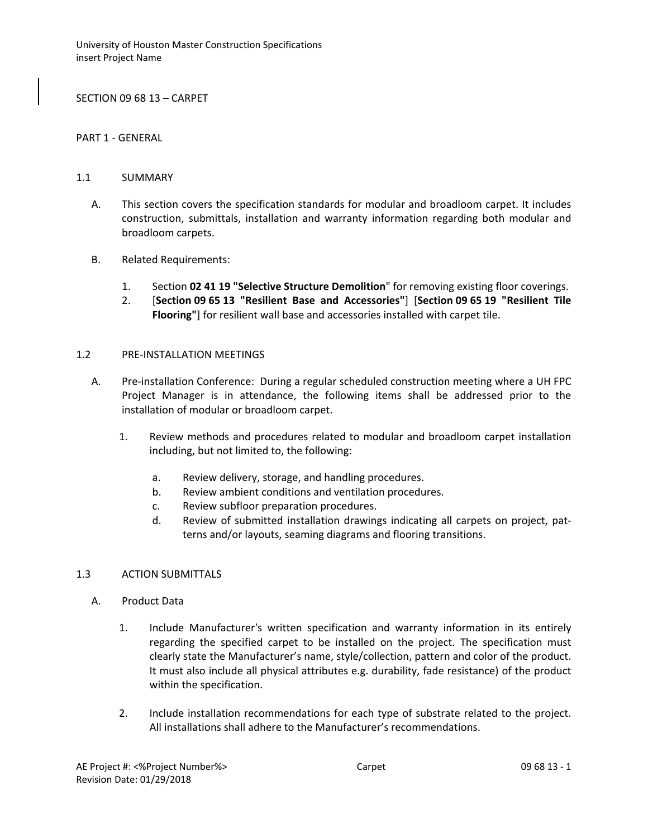SECTION 09 68 13 – CARPET

#### PART 1 - GENERAL

### 1.1 SUMMARY

- A. This section covers the specification standards for modular and broadloom carpet. It includes construction, submittals, installation and warranty information regarding both modular and broadloom carpets.
- B. Related Requirements:
	- 1. Section **02 41 19 "Selective Structure Demolition**" for removing existing floor coverings.
	- 2. [**Section 09 65 13 "Resilient Base and Accessories"**] [**Section 09 65 19 "Resilient Tile Flooring"**] for resilient wall base and accessories installed with carpet tile.

### 1.2 PRE-INSTALLATION MEETINGS

- A. Pre-installation Conference: During a regular scheduled construction meeting where a UH FPC Project Manager is in attendance, the following items shall be addressed prior to the installation of modular or broadloom carpet.
	- 1. Review methods and procedures related to modular and broadloom carpet installation including, but not limited to, the following:
		- a. Review delivery, storage, and handling procedures.
		- b. Review ambient conditions and ventilation procedures.
		- c. Review subfloor preparation procedures.
		- d. Review of submitted installation drawings indicating all carpets on project, patterns and/or layouts, seaming diagrams and flooring transitions.

# 1.3 ACTION SUBMITTALS

- A. Product Data
	- 1. Include Manufacturer's written specification and warranty information in its entirely regarding the specified carpet to be installed on the project. The specification must clearly state the Manufacturer's name, style/collection, pattern and color of the product. It must also include all physical attributes e.g. durability, fade resistance) of the product within the specification.
	- 2. Include installation recommendations for each type of substrate related to the project. All installations shall adhere to the Manufacturer's recommendations.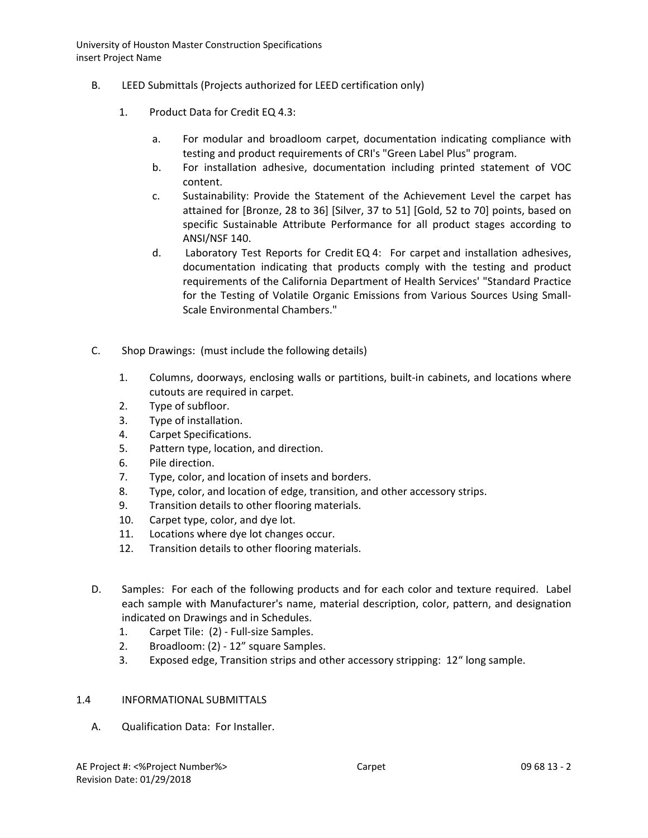- B. LEED Submittals (Projects authorized for LEED certification only)
	- 1. Product Data for Credit EQ 4.3:
		- a. For modular and broadloom carpet, documentation indicating compliance with testing and product requirements of CRI's "Green Label Plus" program.
		- b. For installation adhesive, documentation including printed statement of VOC content.
		- c. Sustainability: Provide the Statement of the Achievement Level the carpet has attained for [Bronze, 28 to 36] [Silver, 37 to 51] [Gold, 52 to 70] points, based on specific Sustainable Attribute Performance for all product stages according to ANSI/NSF 140.
		- d. Laboratory Test Reports for Credit EQ 4: For carpet and installation adhesives, documentation indicating that products comply with the testing and product requirements of the California Department of Health Services' "Standard Practice for the Testing of Volatile Organic Emissions from Various Sources Using Small-Scale Environmental Chambers."
- C. Shop Drawings: (must include the following details)
	- 1. Columns, doorways, enclosing walls or partitions, built-in cabinets, and locations where cutouts are required in carpet.
	- 2. Type of subfloor.
	- 3. Type of installation.
	- 4. Carpet Specifications.
	- 5. Pattern type, location, and direction.
	- 6. Pile direction.
	- 7. Type, color, and location of insets and borders.
	- 8. Type, color, and location of edge, transition, and other accessory strips.
	- 9. Transition details to other flooring materials.
	- 10. Carpet type, color, and dye lot.
	- 11. Locations where dye lot changes occur.
	- 12. Transition details to other flooring materials.
- D. Samples: For each of the following products and for each color and texture required. Label each sample with Manufacturer's name, material description, color, pattern, and designation indicated on Drawings and in Schedules.
	- 1. Carpet Tile: (2) Full-size Samples.
	- 2. Broadloom: (2) 12" square Samples.
	- 3. Exposed edge, Transition strips and other accessory stripping: 12" long sample.

# 1.4 INFORMATIONAL SUBMITTALS

A. Qualification Data: For Installer.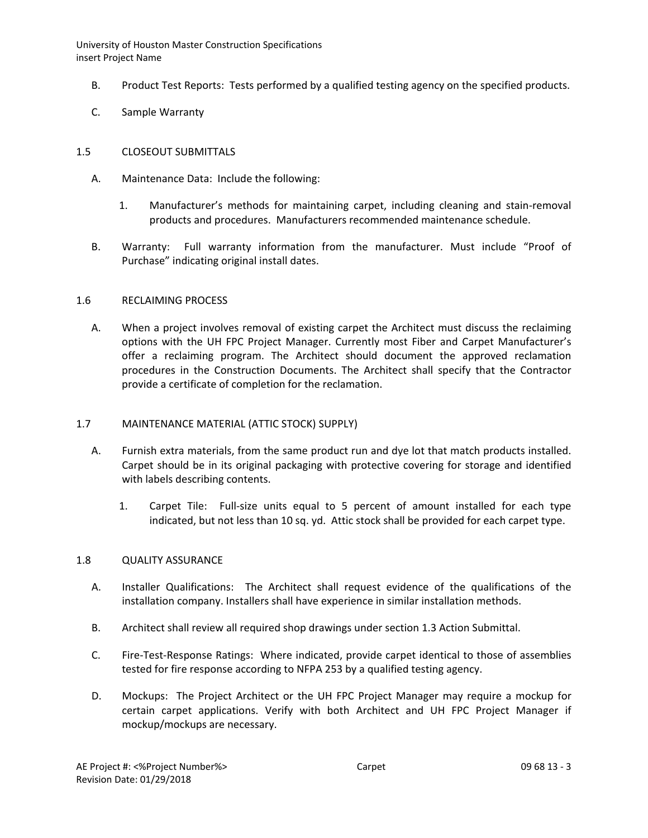- B. Product Test Reports: Tests performed by a qualified testing agency on the specified products.
- C. Sample Warranty

### 1.5 CLOSEOUT SUBMITTALS

- A. Maintenance Data: Include the following:
	- 1. Manufacturer's methods for maintaining carpet, including cleaning and stain-removal products and procedures. Manufacturers recommended maintenance schedule.
- B. Warranty: Full warranty information from the manufacturer. Must include "Proof of Purchase" indicating original install dates.

### 1.6 RECLAIMING PROCESS

A. When a project involves removal of existing carpet the Architect must discuss the reclaiming options with the UH FPC Project Manager. Currently most Fiber and Carpet Manufacturer's offer a reclaiming program. The Architect should document the approved reclamation procedures in the Construction Documents. The Architect shall specify that the Contractor provide a certificate of completion for the reclamation.

### 1.7 MAINTENANCE MATERIAL (ATTIC STOCK) SUPPLY)

- A. Furnish extra materials, from the same product run and dye lot that match products installed. Carpet should be in its original packaging with protective covering for storage and identified with labels describing contents.
	- 1. Carpet Tile: Full-size units equal to 5 percent of amount installed for each type indicated, but not less than 10 sq. yd. Attic stock shall be provided for each carpet type.

#### 1.8 QUALITY ASSURANCE

- A. Installer Qualifications: The Architect shall request evidence of the qualifications of the installation company. Installers shall have experience in similar installation methods.
- B. Architect shall review all required shop drawings under section 1.3 Action Submittal.
- C. Fire-Test-Response Ratings: Where indicated, provide carpet identical to those of assemblies tested for fire response according to NFPA 253 by a qualified testing agency.
- D. Mockups: The Project Architect or the UH FPC Project Manager may require a mockup for certain carpet applications. Verify with both Architect and UH FPC Project Manager if mockup/mockups are necessary.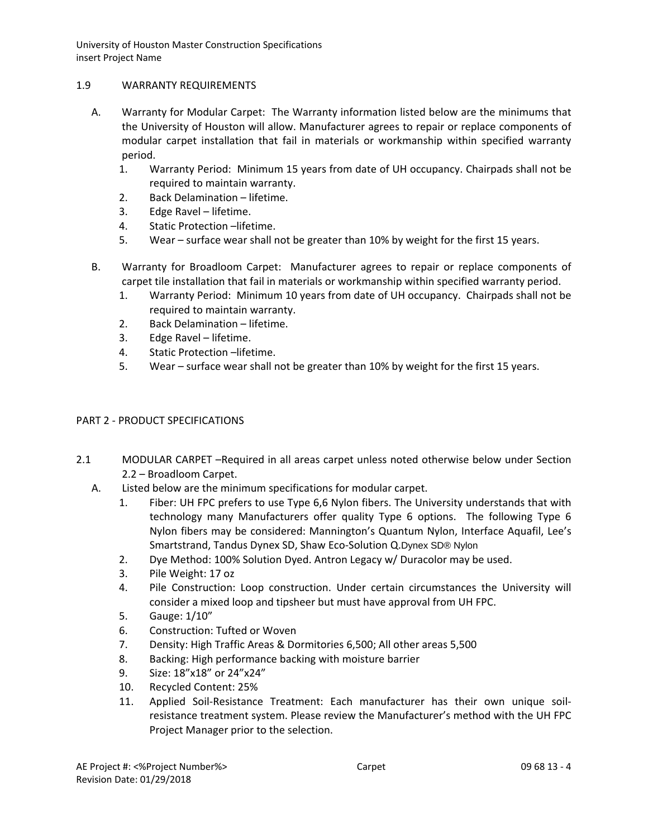# 1.9 WARRANTY REQUIREMENTS

- A. Warranty for Modular Carpet: The Warranty information listed below are the minimums that the University of Houston will allow. Manufacturer agrees to repair or replace components of modular carpet installation that fail in materials or workmanship within specified warranty period.
	- 1. Warranty Period: Minimum 15 years from date of UH occupancy. Chairpads shall not be required to maintain warranty.
	- 2. Back Delamination lifetime.
	- 3. Edge Ravel lifetime.
	- 4. Static Protection –lifetime.
	- 5. Wear surface wear shall not be greater than 10% by weight for the first 15 years.
- B. Warranty for Broadloom Carpet: Manufacturer agrees to repair or replace components of carpet tile installation that fail in materials or workmanship within specified warranty period.
	- 1. Warranty Period: Minimum 10 years from date of UH occupancy. Chairpads shall not be required to maintain warranty.
	- 2. Back Delamination lifetime.
	- 3. Edge Ravel lifetime.
	- 4. Static Protection –lifetime.
	- 5. Wear surface wear shall not be greater than 10% by weight for the first 15 years.

# PART 2 - PRODUCT SPECIFICATIONS

- 2.1 MODULAR CARPET –Required in all areas carpet unless noted otherwise below under Section 2.2 – Broadloom Carpet.
	- A. Listed below are the minimum specifications for modular carpet.
		- 1. Fiber: UH FPC prefers to use Type 6,6 Nylon fibers. The University understands that with technology many Manufacturers offer quality Type 6 options. The following Type 6 Nylon fibers may be considered: Mannington's Quantum Nylon, Interface Aquafil, Lee's Smartstrand, Tandus Dynex SD, Shaw Eco-Solution Q.Dynex SD® Nylon
		- 2. Dye Method: 100% Solution Dyed. Antron Legacy w/ Duracolor may be used.
		- 3. Pile Weight: 17 oz
		- 4. Pile Construction: Loop construction. Under certain circumstances the University will consider a mixed loop and tipsheer but must have approval from UH FPC.
		- 5. Gauge: 1/10"
		- 6. Construction: Tufted or Woven
		- 7. Density: High Traffic Areas & Dormitories 6,500; All other areas 5,500
		- 8. Backing: High performance backing with moisture barrier
		- 9. Size: 18"x18" or 24"x24"
		- 10. Recycled Content: 25%
		- 11. Applied Soil-Resistance Treatment: Each manufacturer has their own unique soilresistance treatment system. Please review the Manufacturer's method with the UH FPC Project Manager prior to the selection.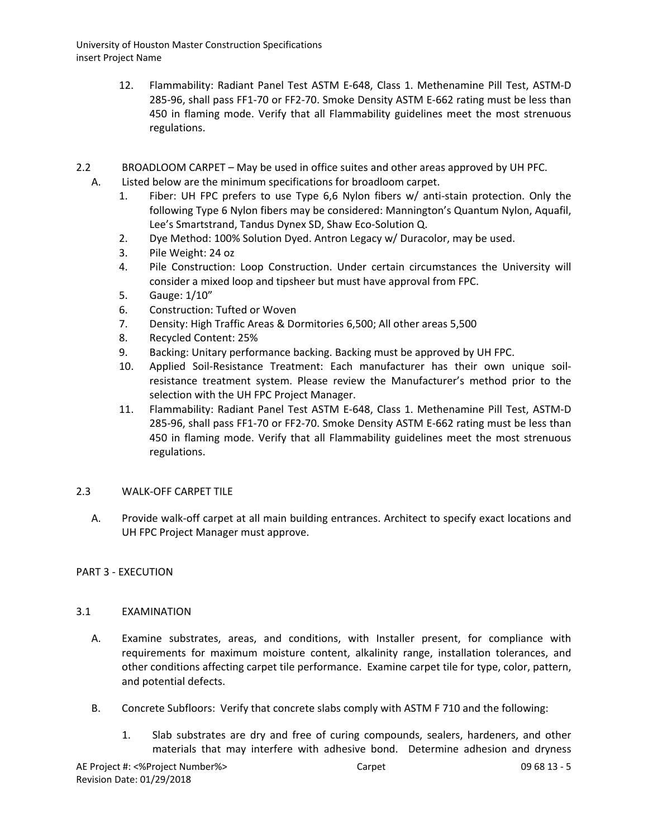- 12. Flammability: Radiant Panel Test ASTM E-648, Class 1. Methenamine Pill Test, ASTM-D 285-96, shall pass FF1-70 or FF2-70. Smoke Density ASTM E-662 rating must be less than 450 in flaming mode. Verify that all Flammability guidelines meet the most strenuous regulations.
- 2.2 BROADLOOM CARPET May be used in office suites and other areas approved by UH PFC.
	- A. Listed below are the minimum specifications for broadloom carpet.
		- 1. Fiber: UH FPC prefers to use Type 6,6 Nylon fibers w/ anti-stain protection. Only the following Type 6 Nylon fibers may be considered: Mannington's Quantum Nylon, Aquafil, Lee's Smartstrand, Tandus Dynex SD, Shaw Eco-Solution Q.
		- 2. Dye Method: 100% Solution Dyed. Antron Legacy w/ Duracolor, may be used.
		- 3. Pile Weight: 24 oz
		- 4. Pile Construction: Loop Construction. Under certain circumstances the University will consider a mixed loop and tipsheer but must have approval from FPC.
		- 5. Gauge: 1/10"
		- 6. Construction: Tufted or Woven
		- 7. Density: High Traffic Areas & Dormitories 6,500; All other areas 5,500
		- 8. Recycled Content: 25%
		- 9. Backing: Unitary performance backing. Backing must be approved by UH FPC.
		- 10. Applied Soil-Resistance Treatment: Each manufacturer has their own unique soilresistance treatment system. Please review the Manufacturer's method prior to the selection with the UH FPC Project Manager.
		- 11. Flammability: Radiant Panel Test ASTM E-648, Class 1. Methenamine Pill Test, ASTM-D 285-96, shall pass FF1-70 or FF2-70. Smoke Density ASTM E-662 rating must be less than 450 in flaming mode. Verify that all Flammability guidelines meet the most strenuous regulations.

# 2.3 WALK-OFF CARPET TILE

A. Provide walk-off carpet at all main building entrances. Architect to specify exact locations and UH FPC Project Manager must approve.

# PART 3 - EXECUTION

# 3.1 EXAMINATION

- A. Examine substrates, areas, and conditions, with Installer present, for compliance with requirements for maximum moisture content, alkalinity range, installation tolerances, and other conditions affecting carpet tile performance. Examine carpet tile for type, color, pattern, and potential defects.
- B. Concrete Subfloors: Verify that concrete slabs comply with ASTM F 710 and the following:
	- 1. Slab substrates are dry and free of curing compounds, sealers, hardeners, and other materials that may interfere with adhesive bond. Determine adhesion and dryness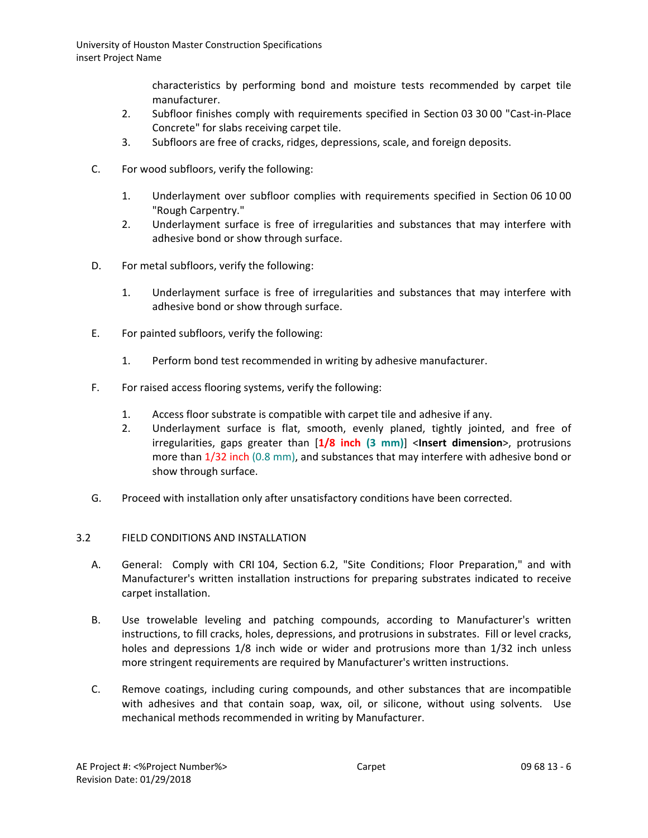characteristics by performing bond and moisture tests recommended by carpet tile manufacturer.

- 2. Subfloor finishes comply with requirements specified in Section 03 30 00 "Cast-in-Place Concrete" for slabs receiving carpet tile.
- 3. Subfloors are free of cracks, ridges, depressions, scale, and foreign deposits.
- C. For wood subfloors, verify the following:
	- 1. Underlayment over subfloor complies with requirements specified in Section 06 10 00 "Rough Carpentry."
	- 2. Underlayment surface is free of irregularities and substances that may interfere with adhesive bond or show through surface.
- D. For metal subfloors, verify the following:
	- 1. Underlayment surface is free of irregularities and substances that may interfere with adhesive bond or show through surface.
- E. For painted subfloors, verify the following:
	- 1. Perform bond test recommended in writing by adhesive manufacturer.
- F. For raised access flooring systems, verify the following:
	- 1. Access floor substrate is compatible with carpet tile and adhesive if any.
	- 2. Underlayment surface is flat, smooth, evenly planed, tightly jointed, and free of irregularities, gaps greater than [**1/8 inch (3 mm)**] <**Insert dimension**>, protrusions more than 1/32 inch (0.8 mm), and substances that may interfere with adhesive bond or show through surface.
- G. Proceed with installation only after unsatisfactory conditions have been corrected.

# 3.2 FIELD CONDITIONS AND INSTALLATION

- A. General: Comply with CRI 104, Section 6.2, "Site Conditions; Floor Preparation," and with Manufacturer's written installation instructions for preparing substrates indicated to receive carpet installation.
- B. Use trowelable leveling and patching compounds, according to Manufacturer's written instructions, to fill cracks, holes, depressions, and protrusions in substrates. Fill or level cracks, holes and depressions 1/8 inch wide or wider and protrusions more than 1/32 inch unless more stringent requirements are required by Manufacturer's written instructions.
- C. Remove coatings, including curing compounds, and other substances that are incompatible with adhesives and that contain soap, wax, oil, or silicone, without using solvents. Use mechanical methods recommended in writing by Manufacturer.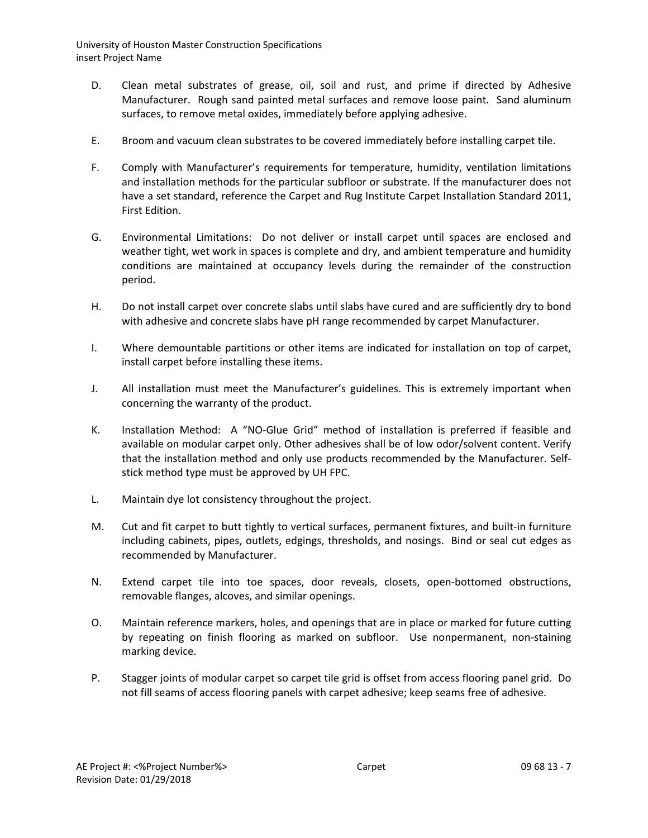- D. Clean metal substrates of grease, oil, soil and rust, and prime if directed by Adhesive Manufacturer. Rough sand painted metal surfaces and remove loose paint. Sand aluminum surfaces, to remove metal oxides, immediately before applying adhesive.
- E. Broom and vacuum clean substrates to be covered immediately before installing carpet tile.
- F. Comply with Manufacturer's requirements for temperature, humidity, ventilation limitations and installation methods for the particular subfloor or substrate. If the manufacturer does not have a set standard, reference the Carpet and Rug Institute Carpet Installation Standard 2011, First Edition.
- G. Environmental Limitations: Do not deliver or install carpet until spaces are enclosed and weather tight, wet work in spaces is complete and dry, and ambient temperature and humidity conditions are maintained at occupancy levels during the remainder of the construction period.
- H. Do not install carpet over concrete slabs until slabs have cured and are sufficiently dry to bond with adhesive and concrete slabs have pH range recommended by carpet Manufacturer.
- I. Where demountable partitions or other items are indicated for installation on top of carpet, install carpet before installing these items.
- J. All installation must meet the Manufacturer's guidelines. This is extremely important when concerning the warranty of the product.
- K. Installation Method: A "NO-Glue Grid" method of installation is preferred if feasible and available on modular carpet only. Other adhesives shall be of low odor/solvent content. Verify that the installation method and only use products recommended by the Manufacturer. Selfstick method type must be approved by UH FPC.
- L. Maintain dye lot consistency throughout the project.
- M. Cut and fit carpet to butt tightly to vertical surfaces, permanent fixtures, and built-in furniture including cabinets, pipes, outlets, edgings, thresholds, and nosings. Bind or seal cut edges as recommended by Manufacturer.
- N. Extend carpet tile into toe spaces, door reveals, closets, open-bottomed obstructions, removable flanges, alcoves, and similar openings.
- O. Maintain reference markers, holes, and openings that are in place or marked for future cutting by repeating on finish flooring as marked on subfloor. Use nonpermanent, non-staining marking device.
- P. Stagger joints of modular carpet so carpet tile grid is offset from access flooring panel grid. Do not fill seams of access flooring panels with carpet adhesive; keep seams free of adhesive.